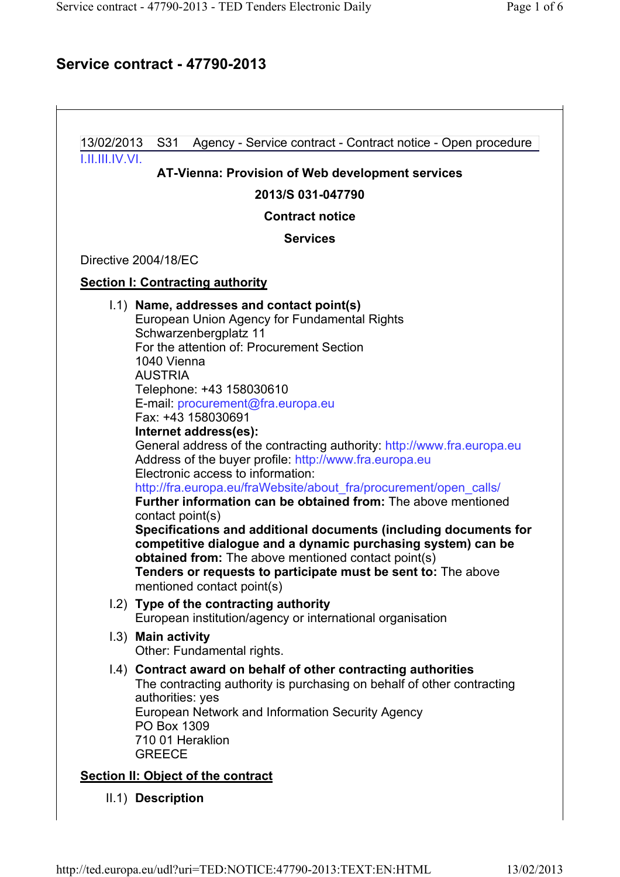# Service contract - 47790-2013

 $\vdash$ 

|                                             | LILIILIV.VI.<br>AT-Vienna: Provision of Web development services                                                                                                                                                                                                                                                                                                                                                                                                                                                                                                                                                                                                                                                                                                                                                                                                                                                                                     |  |                      |
|---------------------------------------------|------------------------------------------------------------------------------------------------------------------------------------------------------------------------------------------------------------------------------------------------------------------------------------------------------------------------------------------------------------------------------------------------------------------------------------------------------------------------------------------------------------------------------------------------------------------------------------------------------------------------------------------------------------------------------------------------------------------------------------------------------------------------------------------------------------------------------------------------------------------------------------------------------------------------------------------------------|--|----------------------|
| 2013/S 031-047790<br><b>Contract notice</b> |                                                                                                                                                                                                                                                                                                                                                                                                                                                                                                                                                                                                                                                                                                                                                                                                                                                                                                                                                      |  |                      |
|                                             |                                                                                                                                                                                                                                                                                                                                                                                                                                                                                                                                                                                                                                                                                                                                                                                                                                                                                                                                                      |  | <b>Services</b>      |
|                                             |                                                                                                                                                                                                                                                                                                                                                                                                                                                                                                                                                                                                                                                                                                                                                                                                                                                                                                                                                      |  | Directive 2004/18/EC |
|                                             | <b>Section I: Contracting authority</b>                                                                                                                                                                                                                                                                                                                                                                                                                                                                                                                                                                                                                                                                                                                                                                                                                                                                                                              |  |                      |
|                                             | 1.1) Name, addresses and contact point(s)<br>European Union Agency for Fundamental Rights<br>Schwarzenbergplatz 11<br>For the attention of: Procurement Section<br>1040 Vienna<br><b>AUSTRIA</b><br>Telephone: +43 158030610<br>E-mail: procurement@fra.europa.eu<br>Fax: +43 158030691<br>Internet address(es):<br>General address of the contracting authority: http://www.fra.europa.eu<br>Address of the buyer profile: http://www.fra.europa.eu<br>Electronic access to information:<br>http://fra.europa.eu/fraWebsite/about_fra/procurement/open_calls/<br><b>Further information can be obtained from:</b> The above mentioned<br>contact point(s)<br>Specifications and additional documents (including documents for<br>competitive dialogue and a dynamic purchasing system) can be<br>obtained from: The above mentioned contact point(s)<br>Tenders or requests to participate must be sent to: The above<br>mentioned contact point(s) |  |                      |
|                                             | 1.2) Type of the contracting authority<br>European institution/agency or international organisation                                                                                                                                                                                                                                                                                                                                                                                                                                                                                                                                                                                                                                                                                                                                                                                                                                                  |  |                      |
|                                             | 1.3) Main activity<br>Other: Fundamental rights.                                                                                                                                                                                                                                                                                                                                                                                                                                                                                                                                                                                                                                                                                                                                                                                                                                                                                                     |  |                      |
|                                             | 1.4) Contract award on behalf of other contracting authorities<br>The contracting authority is purchasing on behalf of other contracting<br>authorities: yes<br>European Network and Information Security Agency<br>PO Box 1309<br>710 01 Heraklion                                                                                                                                                                                                                                                                                                                                                                                                                                                                                                                                                                                                                                                                                                  |  |                      |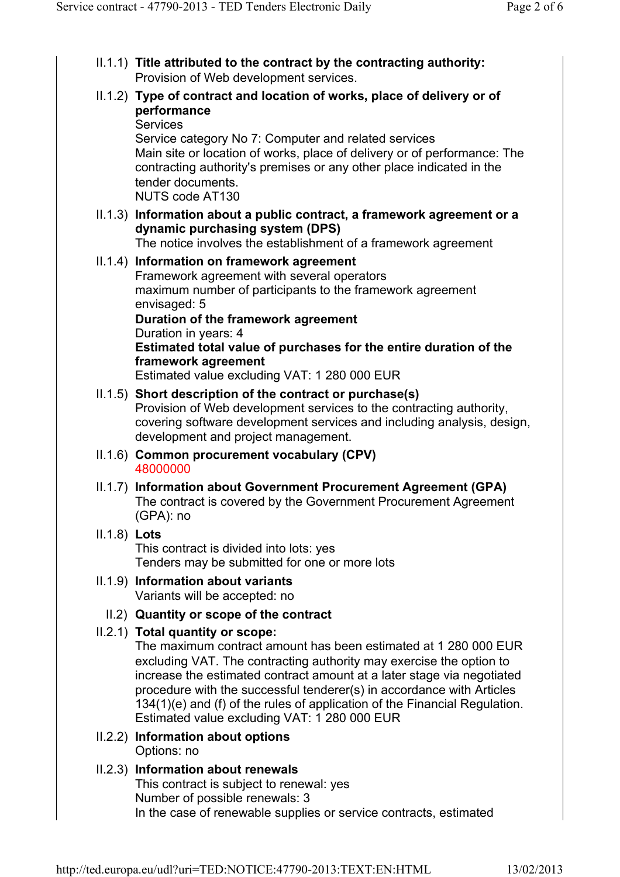- II.1.1) Title attributed to the contract by the contracting authority: Provision of Web development services.
- II.1.2) Type of contract and location of works, place of delivery or of performance **Services** Service category No 7: Computer and related services

Main site or location of works, place of delivery or of performance: The contracting authority's premises or any other place indicated in the tender documents. NUTS code AT130

II.1.3) Information about a public contract, a framework agreement or a dynamic purchasing system (DPS)

The notice involves the establishment of a framework agreement

#### II.1.4) Information on framework agreement Framework agreement with several operators maximum number of participants to the framework agreement envisaged: 5 Duration of the framework agreement Duration in years: 4 Estimated total value of purchases for the entire duration of the framework agreement

Estimated value excluding VAT: 1 280 000 EUR

# II.1.5) Short description of the contract or purchase(s)

Provision of Web development services to the contracting authority, covering software development services and including analysis, design, development and project management.

- II.1.6) Common procurement vocabulary (CPV) 48000000
- II.1.7) Information about Government Procurement Agreement (GPA) The contract is covered by the Government Procurement Agreement (GPA): no
- II.1.8) Lots

This contract is divided into lots: yes Tenders may be submitted for one or more lots

- II.1.9) Information about variants Variants will be accepted: no
	- II.2) Quantity or scope of the contract
- II.2.1) Total quantity or scope:

The maximum contract amount has been estimated at 1 280 000 EUR excluding VAT. The contracting authority may exercise the option to increase the estimated contract amount at a later stage via negotiated procedure with the successful tenderer(s) in accordance with Articles 134(1)(e) and (f) of the rules of application of the Financial Regulation. Estimated value excluding VAT: 1 280 000 EUR

II.2.2) Information about options Options: no

#### II.2.3) Information about renewals This contract is subject to renewal: yes Number of possible renewals: 3 In the case of renewable supplies or service contracts, estimated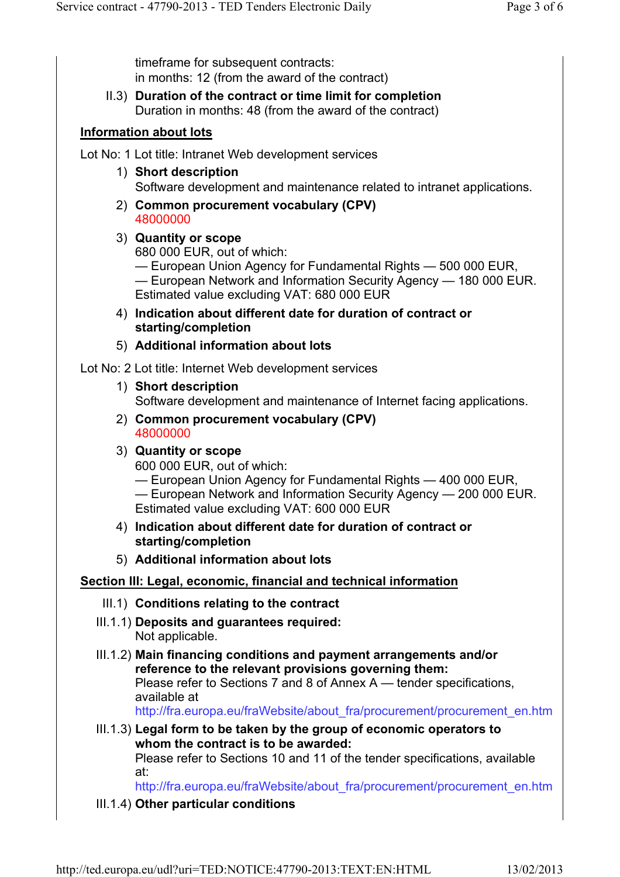timeframe for subsequent contracts: in months: 12 (from the award of the contract)

II.3) Duration of the contract or time limit for completion Duration in months: 48 (from the award of the contract)

### Information about lots

Lot No: 1 Lot title: Intranet Web development services

- 1) Short description Software development and maintenance related to intranet applications.
- 2) Common procurement vocabulary (CPV) 48000000
- 3) Quantity or scope 680 000 EUR, out of which: — European Union Agency for Fundamental Rights — 500 000 EUR, — European Network and Information Security Agency — 180 000 EUR. Estimated value excluding VAT: 680 000 EUR
- 4) Indication about different date for duration of contract or starting/completion
- 5) Additional information about lots

Lot No: 2 Lot title: Internet Web development services

1) Short description

Software development and maintenance of Internet facing applications.

- 2) Common procurement vocabulary (CPV) 48000000
- 3) Quantity or scope

600 000 EUR, out of which:

— European Union Agency for Fundamental Rights — 400 000 EUR, — European Network and Information Security Agency — 200 000 EUR. Estimated value excluding VAT: 600 000 EUR

- 4) Indication about different date for duration of contract or starting/completion
- 5) Additional information about lots

### Section III: Legal, economic, financial and technical information

- III.1) Conditions relating to the contract
- III.1.1) Deposits and guarantees required: Not applicable.
- III.1.2) Main financing conditions and payment arrangements and/or reference to the relevant provisions governing them: Please refer to Sections 7 and 8 of Annex A — tender specifications, available at

http://fra.europa.eu/fraWebsite/about\_fra/procurement/procurement\_en.htm

III.1.3) Legal form to be taken by the group of economic operators to whom the contract is to be awarded:

Please refer to Sections 10 and 11 of the tender specifications, available at:

http://fra.europa.eu/fraWebsite/about\_fra/procurement/procurement\_en.htm

III.1.4) Other particular conditions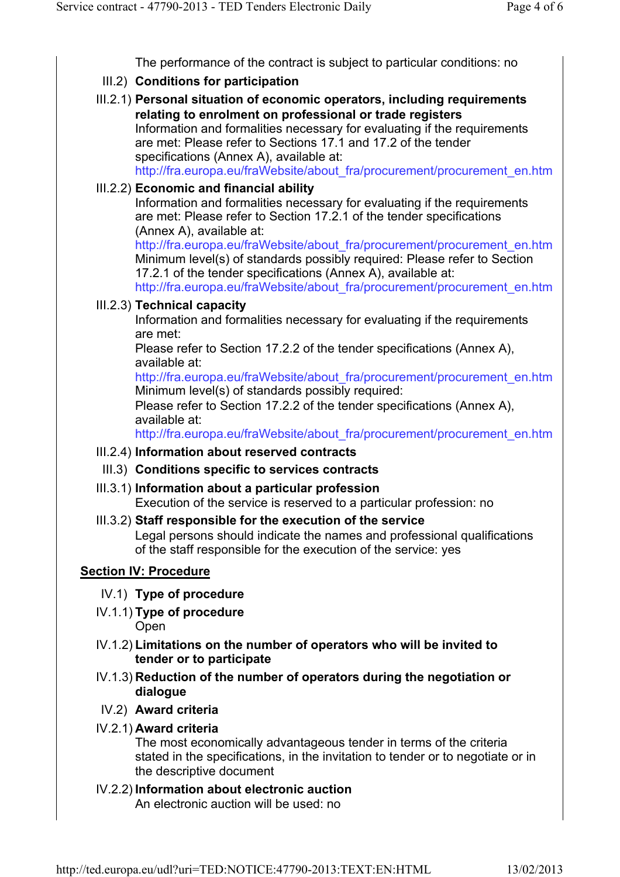The performance of the contract is subject to particular conditions: no

- III.2) Conditions for participation
- III.2.1) Personal situation of economic operators, including requirements relating to enrolment on professional or trade registers Information and formalities necessary for evaluating if the requirements are met: Please refer to Sections 17.1 and 17.2 of the tender specifications (Annex A), available at: http://fra.europa.eu/fraWebsite/about\_fra/procurement/procurement\_en.htm

### III.2.2) Economic and financial ability

Information and formalities necessary for evaluating if the requirements are met: Please refer to Section 17.2.1 of the tender specifications (Annex A), available at:

http://fra.europa.eu/fraWebsite/about\_fra/procurement/procurement\_en.htm Minimum level(s) of standards possibly required: Please refer to Section 17.2.1 of the tender specifications (Annex A), available at:

http://fra.europa.eu/fraWebsite/about\_fra/procurement/procurement\_en.htm

# III.2.3) Technical capacity

Information and formalities necessary for evaluating if the requirements are met:

Please refer to Section 17.2.2 of the tender specifications (Annex A), available at:

http://fra.europa.eu/fraWebsite/about\_fra/procurement/procurement\_en.htm Minimum level(s) of standards possibly required:

Please refer to Section 17.2.2 of the tender specifications (Annex A), available at:

http://fra.europa.eu/fraWebsite/about\_fra/procurement/procurement\_en.htm

# III.2.4) Information about reserved contracts

- III.3) Conditions specific to services contracts
- III.3.1) Information about a particular profession Execution of the service is reserved to a particular profession: no

### III.3.2) Staff responsible for the execution of the service Legal persons should indicate the names and professional qualifications of the staff responsible for the execution of the service: yes

# Section IV: Procedure

- IV.1) Type of procedure
- IV.1.1) Type of procedure **Open**
- IV.1.2) Limitations on the number of operators who will be invited to tender or to participate
- IV.1.3) Reduction of the number of operators during the negotiation or dialogue
- IV.2) Award criteria
- IV.2.1) Award criteria

The most economically advantageous tender in terms of the criteria stated in the specifications, in the invitation to tender or to negotiate or in the descriptive document

IV.2.2) Information about electronic auction An electronic auction will be used: no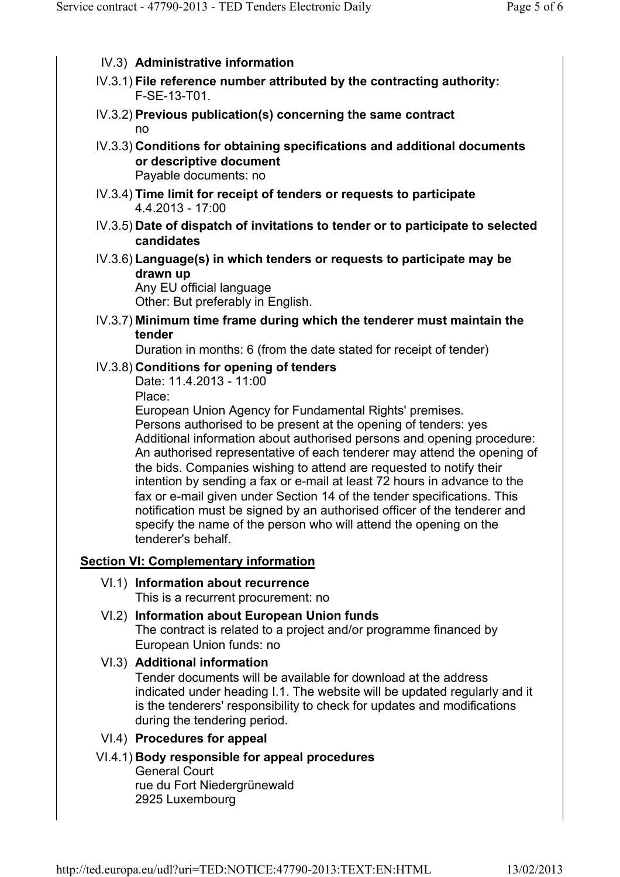- IV.3) Administrative information
- IV.3.1) File reference number attributed by the contracting authority: F-SE-13-T01.
- IV.3.2) Previous publication(s) concerning the same contract no
- IV.3.3) Conditions for obtaining specifications and additional documents or descriptive document Payable documents: no
- IV.3.4) Time limit for receipt of tenders or requests to participate 4.4.2013 - 17:00
- IV.3.5) Date of dispatch of invitations to tender or to participate to selected candidates
- IV.3.6) Language(s) in which tenders or requests to participate may be drawn up

Any EU official language Other: But preferably in English.

IV.3.7) Minimum time frame during which the tenderer must maintain the tender

Duration in months: 6 (from the date stated for receipt of tender)

#### IV.3.8) Conditions for opening of tenders

Date: 11.4.2013 - 11:00

Place:

European Union Agency for Fundamental Rights' premises.

Persons authorised to be present at the opening of tenders: yes Additional information about authorised persons and opening procedure: An authorised representative of each tenderer may attend the opening of the bids. Companies wishing to attend are requested to notify their intention by sending a fax or e-mail at least 72 hours in advance to the fax or e-mail given under Section 14 of the tender specifications. This notification must be signed by an authorised officer of the tenderer and specify the name of the person who will attend the opening on the tenderer's behalf.

### Section VI: Complementary information

### VI.1) Information about recurrence

This is a recurrent procurement: no

VI.2) Information about European Union funds The contract is related to a project and/or programme financed by European Union funds: no

### VI.3) Additional information

Tender documents will be available for download at the address indicated under heading I.1. The website will be updated regularly and it is the tenderers' responsibility to check for updates and modifications during the tendering period.

#### VI.4) Procedures for appeal

VI.4.1) Body responsible for appeal procedures General Court rue du Fort Niedergrünewald 2925 Luxembourg